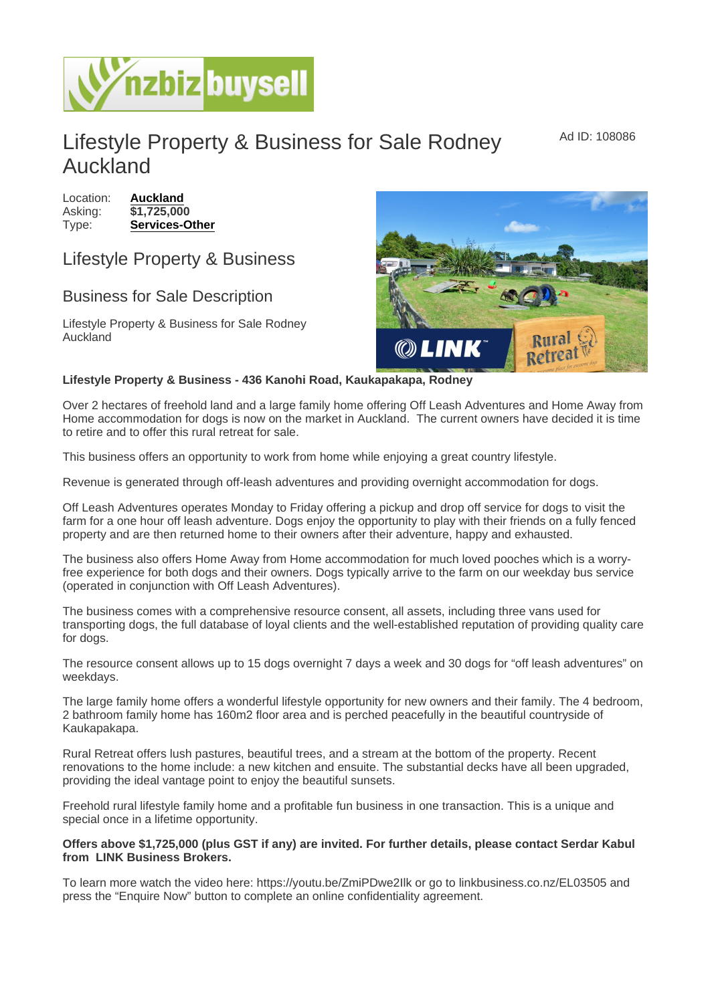Ad ID: 108086

## Lifestyle Property & Business for Sale Rodney Auckland

Location: [Auckland](https://www.nzbizbuysell.co.nz/businesses-for-sale/location/Auckland) Asking: \$1,725,000 Type: [Services-Other](https://www.nzbizbuysell.co.nz/businesses-for-sale/Services/New-Zealand)

## Lifestyle Property & Business

## Business for Sale Description

Lifestyle Property & Business for Sale Rodney Auckland

Lifestyle Property & Business - 436 Kanohi Road, Kaukapakapa, Rodney

Over 2 hectares of freehold land and a large family home offering Off Leash Adventures and Home Away from Home accommodation for dogs is now on the market in Auckland. The current owners have decided it is time to retire and to offer this rural retreat for sale.

This business offers an opportunity to work from home while enjoying a great country lifestyle.

Revenue is generated through off-leash adventures and providing overnight accommodation for dogs.

Off Leash Adventures operates Monday to Friday offering a pickup and drop off service for dogs to visit the farm for a one hour off leash adventure. Dogs enjoy the opportunity to play with their friends on a fully fenced property and are then returned home to their owners after their adventure, happy and exhausted.

The business also offers Home Away from Home accommodation for much loved pooches which is a worryfree experience for both dogs and their owners. Dogs typically arrive to the farm on our weekday bus service (operated in conjunction with Off Leash Adventures).

The business comes with a comprehensive resource consent, all assets, including three vans used for transporting dogs, the full database of loyal clients and the well-established reputation of providing quality care for dogs.

The resource consent allows up to 15 dogs overnight 7 days a week and 30 dogs for "off leash adventures" on weekdays.

The large family home offers a wonderful lifestyle opportunity for new owners and their family. The 4 bedroom, 2 bathroom family home has 160m2 floor area and is perched peacefully in the beautiful countryside of Kaukapakapa.

Rural Retreat offers lush pastures, beautiful trees, and a stream at the bottom of the property. Recent renovations to the home include: a new kitchen and ensuite. The substantial decks have all been upgraded, providing the ideal vantage point to enjoy the beautiful sunsets.

Freehold rural lifestyle family home and a profitable fun business in one transaction. This is a unique and special once in a lifetime opportunity.

Offers above \$1,725,000 (plus GST if any) are invited. For further details, please contact Serdar Kabul from LINK Business Brokers

To learn more watch the video here: https://youtu.be/ZmiPDwe2Ilk or go to linkbusiness.co.nz/EL03505 and press the "Enquire Now" button to complete an online confidentiality agreement.